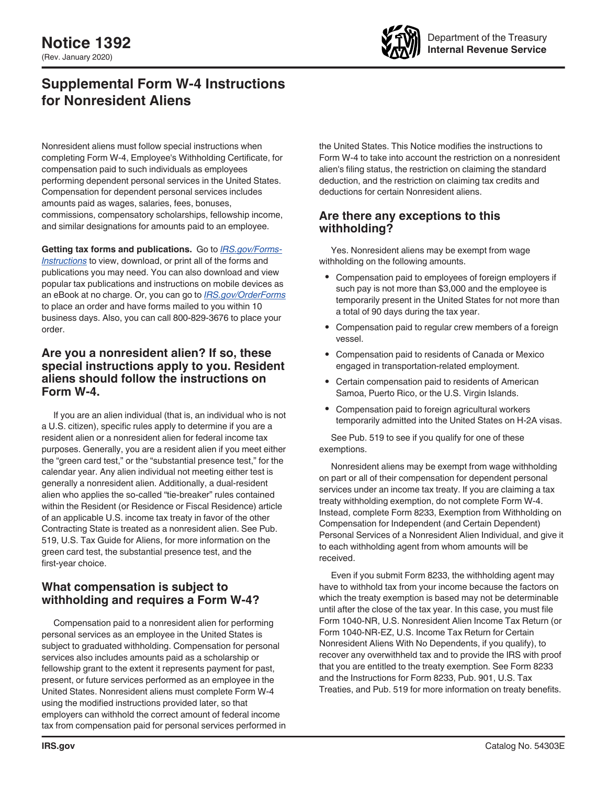

# **Supplemental Form W-4 Instructions for Nonresident Aliens**

Nonresident aliens must follow special instructions when completing Form W-4, Employee's Withholding Certificate, for compensation paid to such individuals as employees performing dependent personal services in the United States. Compensation for dependent personal services includes amounts paid as wages, salaries, fees, bonuses, commissions, compensatory scholarships, fellowship income, and similar designations for amounts paid to an employee.

**Getting tax forms and publications.** Go to *[IRS.gov/Forms-](https://www.irs.gov/forms-instructions)[Instructions](https://www.irs.gov/forms-instructions)* to view, download, or print all of the forms and publications you may need. You can also download and view popular tax publications and instructions on mobile devices as an eBook at no charge. Or, you can go to *[IRS.gov/OrderForms](https://www.IRS.gov/OrderForms)*  to place an order and have forms mailed to you within 10 business days. Also, you can call 800-829-3676 to place your order.

## **Are you a nonresident alien? If so, these special instructions apply to you. Resident aliens should follow the instructions on Form W-4.**

If you are an alien individual (that is, an individual who is not a U.S. citizen), specific rules apply to determine if you are a resident alien or a nonresident alien for federal income tax purposes. Generally, you are a resident alien if you meet either the "green card test," or the "substantial presence test," for the calendar year. Any alien individual not meeting either test is generally a nonresident alien. Additionally, a dual-resident alien who applies the so-called "tie-breaker" rules contained within the Resident (or Residence or Fiscal Residence) article of an applicable U.S. income tax treaty in favor of the other Contracting State is treated as a nonresident alien. See Pub. 519, U.S. Tax Guide for Aliens, for more information on the green card test, the substantial presence test, and the first-year choice.

## **What compensation is subject to withholding and requires a Form W-4?**

Compensation paid to a nonresident alien for performing personal services as an employee in the United States is subject to graduated withholding. Compensation for personal services also includes amounts paid as a scholarship or fellowship grant to the extent it represents payment for past, present, or future services performed as an employee in the United States. Nonresident aliens must complete Form W-4 using the modified instructions provided later, so that employers can withhold the correct amount of federal income tax from compensation paid for personal services performed in the United States. This Notice modifies the instructions to Form W-4 to take into account the restriction on a nonresident alien's filing status, the restriction on claiming the standard deduction, and the restriction on claiming tax credits and deductions for certain Nonresident aliens.

# **Are there any exceptions to this withholding?**

Yes. Nonresident aliens may be exempt from wage withholding on the following amounts.

- Compensation paid to employees of foreign employers if such pay is not more than \$3,000 and the employee is temporarily present in the United States for not more than a total of 90 days during the tax year.
- Compensation paid to regular crew members of a foreign vessel.
- Compensation paid to residents of Canada or Mexico engaged in transportation-related employment.
- Certain compensation paid to residents of American Samoa, Puerto Rico, or the U.S. Virgin Islands.
- Compensation paid to foreign agricultural workers temporarily admitted into the United States on H-2A visas.

See Pub. 519 to see if you qualify for one of these exemptions.

Nonresident aliens may be exempt from wage withholding on part or all of their compensation for dependent personal services under an income tax treaty. If you are claiming a tax treaty withholding exemption, do not complete Form W-4. Instead, complete Form 8233, Exemption from Withholding on Compensation for Independent (and Certain Dependent) Personal Services of a Nonresident Alien Individual, and give it to each withholding agent from whom amounts will be received.

Even if you submit Form 8233, the withholding agent may have to withhold tax from your income because the factors on which the treaty exemption is based may not be determinable until after the close of the tax year. In this case, you must file Form 1040-NR, U.S. Nonresident Alien Income Tax Return (or Form 1040-NR-EZ, U.S. Income Tax Return for Certain Nonresident Aliens With No Dependents, if you qualify), to recover any overwithheld tax and to provide the IRS with proof that you are entitled to the treaty exemption. See Form 8233 and the Instructions for Form 8233, Pub. 901, U.S. Tax Treaties, and Pub. 519 for more information on treaty benefits.